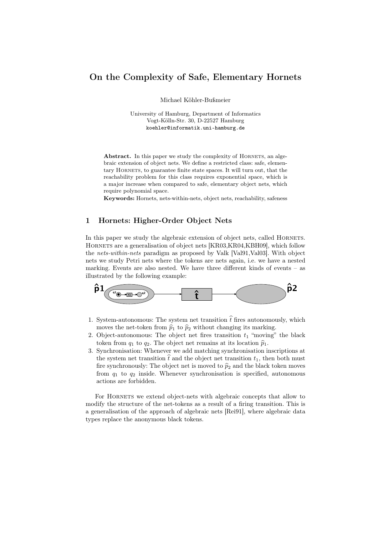# On the Complexity of Safe, Elementary Hornets

Michael Köhler-Bußmeier

University of Hamburg, Department of Informatics Vogt-Kölln-Str. 30, D-22527 Hamburg koehler@informatik.uni-hamburg.de

Abstract. In this paper we study the complexity of HORNETS, an algebraic extension of object nets. We define a restricted class: safe, elementary HORNETS, to guarantee finite state spaces. It will turn out, that the reachability problem for this class requires exponential space, which is a major increase when compared to safe, elementary object nets, which require polynomial space.

Keywords: Hornets, nets-within-nets, object nets, reachability, safeness

## 1 Hornets: Higher-Order Object Nets

In this paper we study the algebraic extension of object nets, called HORNETS. Hornets are a generalisation of object nets [KR03,KR04,KBH09], which follow the *nets-within-nets* paradigm as proposed by Valk [Val91,Val03]. With object nets we study Petri nets where the tokens are nets again, i.e. we have a nested marking. Events are also nested. We have three different kinds of events – as illustrated by the following example:



- 1. System-autonomous: The system net transition  $\hat{t}$  fires autonomously, which moves the net-token from  $\hat{p}_1$  to  $\hat{p}_2$  without changing its marking.
- 2. Object-autonomous: The object net fires transition  $t_1$  "moving" the black token from  $q_1$  to  $q_2$ . The object net remains at its location  $\hat{p}_1$ .
- 3. Synchronisation: Whenever we add matching synchronisation inscriptions at the system net transition  $\hat{t}$  and the object net transition  $t_1$ , then both must fire synchronously: The object net is moved to  $\hat{p}_2$  and the black token moves from  $q_1$  to  $q_2$  inside. Whenever synchronisation is specified, autonomous actions are forbidden.

For HORNETS we extend object-nets with algebraic concepts that allow to modify the structure of the net-tokens as a result of a firing transition. This is a generalisation of the approach of algebraic nets [Rei91], where algebraic data types replace the anonymous black tokens.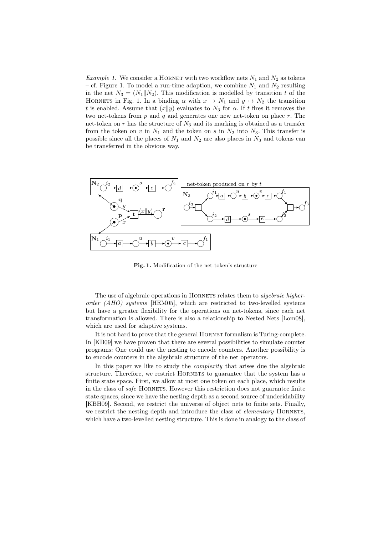*Example 1.* We consider a HORNET with two workflow nets  $N_1$  and  $N_2$  as tokens – cf. Figure 1. To model a run-time adaption, we combine  $N_1$  and  $N_2$  resulting in the net  $N_3 = (N_1||N_2)$ . This modification is modelled by transition t of the HORNETS in Fig. 1. In a binding  $\alpha$  with  $x \mapsto N_1$  and  $y \mapsto N_2$  the transition t is enabled. Assume that  $(x||y)$  evaluates to  $N_3$  for  $\alpha$ . If t fires it removes the two net-tokens from  $p$  and  $q$  and generates one new net-token on place  $r$ . The net-token on  $r$  has the structure of  $N_3$  and its marking is obtained as a transfer from the token on v in  $N_1$  and the token on s in  $N_2$  into  $N_3$ . This transfer is possible since all the places of  $N_1$  and  $N_2$  are also places in  $N_3$  and tokens can be transferred in the obvious way.



Fig. 1. Modification of the net-token's structure

The use of algebraic operations in HORNETS relates them to *algebraic higherorder (AHO) systems* [HEM05], which are restricted to two-levelled systems but have a greater flexibility for the operations on net-tokens, since each net transformation is allowed. There is also a relationship to Nested Nets [Lom08], which are used for adaptive systems.

It is not hard to prove that the general HORNET formalism is Turing-complete. In [KB09] we have proven that there are several possibilities to simulate counter programs: One could use the nesting to encode counters. Another possibility is to encode counters in the algebraic structure of the net operators.

In this paper we like to study the *complexity* that arises due the algebraic structure. Therefore, we restrict HORNETS to guarantee that the system has a finite state space. First, we allow at most one token on each place, which results in the class of *safe* Hornets. However this restriction does not guarantee finite state spaces, since we have the nesting depth as a second source of undecidability [KBH09]. Second, we restrict the universe of object nets to finite sets. Finally, we restrict the nesting depth and introduce the class of *elementary* HORNETS, which have a two-levelled nesting structure. This is done in analogy to the class of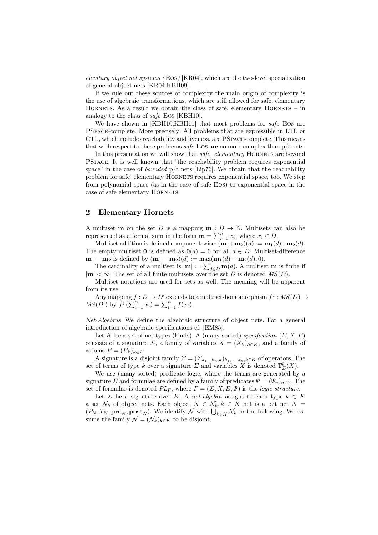*elemtary object net systems (* Eos*)* [KR04], which are the two-level specialisation of general object nets [KR04,KBH09].

If we rule out these sources of complexity the main origin of complexity is the use of algebraic transformations, which are still allowed for safe, elementary HORNETS. As a result we obtain the class of safe, elementary  $HORNETS - in$ analogy to the class of *safe* Eos [KBH10].

We have shown in [KBH10,KBH11] that most problems for *safe* Eos are PSpace-complete. More precisely: All problems that are expressible in LTL or CTL, which includes reachability and liveness, are PSpace-complete. This means that with respect to these problems *safe* EOs are no more complex than  $p/t$  nets.

In this presentation we will show that *safe*, *elementary* HORNETS are beyond PSpace. It is well known that "the reachability problem requires exponential space" in the case of *bounded*  $p/t$  nets [Lip76]. We obtain that the reachability problem for safe, elementary HORNETS requires exponential space, too. We step from polynomial space (as in the case of safe Eos) to exponential space in the case of safe elementary HORNETS.

#### 2 Elementary Hornets

A multiset **m** on the set D is a mapping **m** :  $D \to \mathbb{N}$ . Multisets can also be represented as a formal sum in the form  $\mathbf{m} = \sum_{i=1}^{n} x_i$ , where  $x_i \in D$ .

Multiset addition is defined component-wise:  $(\mathbf{m}_1+\mathbf{m}_2)(d) := \mathbf{m}_1(d) + \mathbf{m}_2(d)$ . The empty multiset **0** is defined as  $\mathbf{0}(d) = 0$  for all  $d \in D$ . Multiset-difference  $m_1 - m_2$  is defined by  $(m_1 - m_2)(d) := \max(m_1(d) - m_2(d), 0).$ 

The cardinality of a multiset is  $|\mathbf{m}| := \sum_{d \in D} \mathbf{m}(d)$ . A multiset **m** is finite if  $|\mathbf{m}| < \infty$ . The set of all finite multisets over the set D is denoted  $MS(D)$ .

Multiset notations are used for sets as well. The meaning will be apparent from its use.

Any mapping  $f: D \to D'$  extends to a multiset-homomorphism  $f^{\sharp}: MS(D) \to$  $MS(D')$  by  $f^{\sharp}(\sum_{i=1}^{n} x_i) = \sum_{i=1}^{n} f(x_i)$ .

*Net-Algebras* We define the algebraic structure of object nets. For a general introduction of algebraic specifications cf. [EM85].

Let K be a set of net-types (kinds). A (many-sorted) *specification*  $(\Sigma, X, E)$ consists of a signature  $\Sigma$ , a family of variables  $X = (X_k)_{k \in K}$ , and a family of axioms  $E = (E_k)_{k \in K}$ .

A signature is a disjoint family  $\Sigma = (\Sigma_{k_1\cdots k_n,k})_{k_1,\cdots,k_n,k\in K}$  of operators. The set of terms of type k over a signature  $\Sigma$  and variables X is denoted  $\mathbb{T}_{\Sigma}^{k}(X)$ .

We use (many-sorted) predicate logic, where the terms are generated by a signature  $\Sigma$  and formulae are defined by a family of predicates  $\Psi = (\Psi_n)_{n \in \mathbb{N}}$ . The set of formulae is denoted  $PL_{\Gamma}$ , where  $\Gamma = (\Sigma, X, E, \Psi)$  is the *logic structure*.

Let  $\Sigma$  be a signature over K. A *net-algebra* assigns to each type  $k \in K$ a set  $\mathcal{N}_k$  of object nets. Each object  $N \in \mathcal{N}_k, k \in K$  net is a p/t net  $N =$  $(P_N, T_N, \textbf{pre}_N, \textbf{post}_N)$ . We identify  $\mathcal N$  with  $\bigcup_{k \in K} \mathcal N_k$  in the following. We assume the family  $\mathcal{N} = (\mathcal{N}_k)_{k \in K}$  to be disjoint.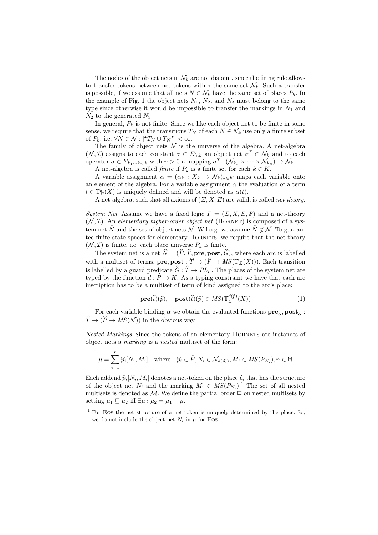The nodes of the object nets in  $\mathcal{N}_k$  are not disjoint, since the firing rule allows to transfer tokens between net tokens within the same set  $\mathcal{N}_k$ . Such a transfer is possible, if we assume that all nets  $N \in \mathcal{N}_k$  have the same set of places  $P_k$ . In the example of Fig. 1 the object nets  $N_1$ ,  $N_2$ , and  $N_3$  must belong to the same type since otherwise it would be impossible to transfer the markings in  $N_1$  and  $N_2$  to the generated  $N_3$ .

In general,  $P_k$  is not finite. Since we like each object net to be finite in some sense, we require that the transitions  $T_N$  of each  $N \in \mathcal{N}_k$  use only a finite subset of  $P_k$ , i.e.  $\forall N \in \mathcal{N} : |\mathbf{P}T_N \cup T_N \mathbf{P}| < \infty$ .

The family of object nets  $\mathcal N$  is the universe of the algebra. A net-algebra  $(\mathcal{N}, \mathcal{I})$  assigns to each constant  $\sigma \in \Sigma_{\lambda,k}$  an object net  $\sigma^{\mathcal{I}} \in \mathcal{N}_k$  and to each operator  $\sigma \in \Sigma_{k_1\cdots k_n,k}$  with  $n>0$  a mapping  $\sigma^{\mathcal{I}}: (\mathcal{N}_{k_1}\times\cdots\times\mathcal{N}_{k_n})\to \mathcal{N}_k$ .

A net-algebra is called *finite* if  $P_k$  is a finite set for each  $k \in K$ .

A variable assignment  $\alpha = (\alpha_k : X_k \to \mathcal{N}_k)_{k \in K}$  maps each variable onto an element of the algebra. For a variable assignment  $\alpha$  the evaluation of a term  $t \in \mathbb{T}_{\Sigma}^{k}(X)$  is uniquely defined and will be denoted as  $\alpha(t)$ .

A net-algebra, such that all axioms of (Σ, X, E) are valid, is called *net-theory*.

*System Net* Assume we have a fixed logic  $\Gamma = (\Sigma, X, E, \Psi)$  and a net-theory  $(N, \mathcal{I})$ . An *elementary higher-order object net* (HORNET) is composed of a system net  $\hat{N}$  and the set of object nets N. W.l.o.g. we assume  $\hat{N} \notin \mathcal{N}$ . To guarantee finite state spaces for elementary HORNETS, we require that the net-theory  $(\mathcal{N}, \mathcal{I})$  is finite, i.e. each place universe  $P_k$  is finite.

The system net is a net  $\hat{N} = (\hat{P}, \hat{T}, \textbf{pre}, \textbf{post}, \hat{G})$ , where each arc is labelled with a multiset of terms: **pre, post** :  $\hat{T} \to (\hat{P} \to MS(\mathbb{T}_{\Sigma}(X)))$ . Each transition is labelled by a guard predicate  $\hat{G}$  :  $\hat{T} \to PL$ . The places of the system net are typed by the function  $d : \hat{P} \to K$ . As a typing constraint we have that each arc inscription has to be a multiset of term of kind assigned to the arc's place:

$$
\mathbf{pre}(\hat{t})(\hat{p}), \quad \mathbf{post}(\hat{t})(\hat{p}) \in MS(\mathbb{T}_{\Sigma}^{d(\hat{p})}(X)) \tag{1}
$$

For each variable binding  $\alpha$  we obtain the evaluated functions  $\mathbf{pre}_\alpha, \mathbf{post}_\alpha$  :  $\widehat{T} \to (\widehat{P} \to MS(\mathcal{N}))$  in the obvious way.

*Nested Markings* Since the tokens of an elementary HORNETS are instances of object nets a *marking* is a *nested* multiset of the form:

$$
\mu = \sum_{i=1}^{n} \widehat{p}_i[N_i, M_i] \quad \text{where} \quad \widehat{p}_i \in \widehat{P}, N_i \in \mathcal{N}_{d(\widehat{p}_i)}, M_i \in MS(P_{N_i}), n \in \mathbb{N}
$$

Each addend  $\hat{p}_i[N_i,M_i]$  denotes a net-token on the place  $\hat{p}_i$  that has the structure of the object net  $N_i$  and the marking  $M_i \in MS(P_{N_i})$ .<sup>1</sup> The set of all nested multisets is denoted as  $\mathcal M$ . We define the partial order  $\sqsubseteq$  on nested multisets by setting  $\mu_1 \sqsubseteq \mu_2$  iff  $\exists \mu : \mu_2 = \mu_1 + \mu$ .

 $1$  For Eos the net structure of a net-token is uniquely determined by the place. So, we do not include the object net  $N_i$  in  $\mu$  for Eos.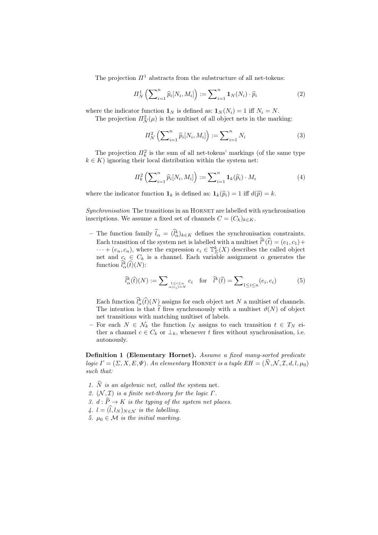The projection  $\Pi^1$  abstracts from the substructure of all net-tokens:

$$
\Pi_N^1\left(\sum_{i=1}^n \widehat{p}_i[N_i, M_i]\right) := \sum_{i=1}^n \mathbf{1}_N(N_i) \cdot \widehat{p}_i \tag{2}
$$

where the indicator function  $\mathbf{1}_N$  is defined as:  $\mathbf{1}_N (N_i) = 1$  iff  $N_i = N$ .

The projection  $\Pi^2_{\mathcal{N}}(\mu)$  is the multiset of all object nets in the marking:

$$
\Pi_{\mathcal{N}}^2 \left( \sum_{i=1}^n \widehat{p}_i[N_i, M_i] \right) := \sum_{i=1}^n N_i \tag{3}
$$

The projection  $\prod_k^2$  is the sum of all net-tokens' markings (of the same type  $k \in K$ ) ignoring their local distribution within the system net:

$$
\Pi_k^2\left(\sum_{i=1}^n \widehat{p}_i[N_i, M_i]\right) := \sum_{i=1}^n \mathbf{1}_k(\widehat{p}_i) \cdot M_i \tag{4}
$$

where the indicator function  $\mathbf{1}_k$  is defined as:  $\mathbf{1}_k(\hat{p}_i) = 1$  iff  $d(\hat{p}) = k$ .

*Synchronisation* The transitions in an HORNET are labelled with synchronisation inscriptions. We assume a fixed set of channels  $C = (C_k)_{k \in K}$ .

– The function family  $\hat{l}_{\alpha} = (\hat{l}_{\alpha}^{k})_{k \in K}$  defines the synchronisation constraints. Each transition of the system net is labelled with a multiset  $\hat{l}^k(\hat{t}) = (e_1, c_1) +$  $\cdots + (e_n, c_n)$ , where the expression  $e_i \in \mathbb{T}_{\Sigma}^k(X)$  describes the called object net and  $c_i \in C_k$  is a channel. Each variable assignment  $\alpha$  generates the function  $\hat{l}_{\alpha}^{k}(\hat{t})(N)$ :

$$
\widehat{l}_{\alpha}^{k}(\widehat{t})(N) := \sum_{\substack{1 \leq i \leq n \\ \alpha(e_i) = N}} c_i \quad \text{for} \quad \widehat{l}^{k}(\widehat{t}) = \sum_{1 \leq i \leq n} (e_i, c_i) \tag{5}
$$

Each function  $\hat{l}_{\alpha}^{k}(\hat{t})(N)$  assigns for each object net N a multiset of channels. The intention is that  $\hat{t}$  fires synchronously with a multiset  $\vartheta(N)$  of object net transitions with matching multiset of labels.

– For each  $N \in \mathcal{N}_k$  the function  $l_N$  assigns to each transition  $t \in T_N$  either a channel  $c \in C_k$  or  $\perp_k$ , whenever t fires without synchronisation, i.e. autonously.

Definition 1 (Elementary Hornet). *Assume a fixed many-sorted predicate logic*  $\Gamma = (\Sigma, X, E, \Psi)$ *. An elementary* HORNET *is a tuple*  $EH = (\hat{N}, \mathcal{N}, \mathcal{I}, d, l, \mu_0)$ *such that:*

- 1.  $\hat{N}$  *is an algebraic net, called the system net.*
- *2.*  $(N, \mathcal{I})$  *is a finite net-theory for the logic*  $\Gamma$ *.*
- *3.*  $d : \hat{P} \to K$  *is the typing of the system net places.*
- 4.  $l = (\hat{l}, l_N)_{N \in \mathcal{N}}$  *is the labelling.*
- *5.*  $\mu_0 \in \mathcal{M}$  *is the initial marking.*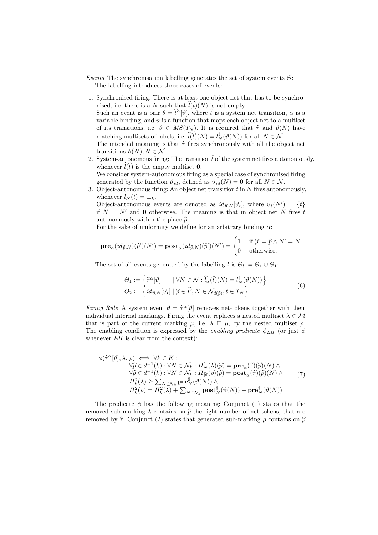*Events* The synchronisation labelling generates the set of system events Θ: The labelling introduces three cases of events:

- 1. Synchronised firing: There is at least one object net that has to be synchronised, i.e. there is a N such that  $\widehat{l}(\widehat{t})(N)$  is not empty. Such an event is a pair  $\theta = \hat{t}^{\alpha}[\vartheta]$ , where  $\hat{t}$  is a system net transition,  $\alpha$  is a variable binding, and  $\vartheta$  is a function that maps each object net to a multiset of its transitions, i.e.  $\vartheta \in MS(T_N)$ . It is required that  $\hat{\tau}$  and  $\vartheta(N)$  have matching multisets of labels, i.e.  $\widehat{l}(\widehat{t})(N) = l_N^{\sharp}(\vartheta(N))$  for all  $N \in \mathcal{N}$ . The intended meaning is that  $\hat{\tau}$  fires synchronously with all the object net transitions  $\vartheta(N)$ ,  $N \in \mathcal{N}$ .
- 2. System-autonomous firing: The transition  $\hat{t}$  of the system net fires autonomously, whenever  $\hat{l}(t)$  is the empty multiset **0**. We consider system-autonomous firing as a special case of synchronised firing generated by the function  $\vartheta_{id}$ , defined as  $\vartheta_{id}(N) = 0$  for all  $N \in \mathcal{N}$ .
- 3. Object-autonomous firing: An object net transition  $t$  in  $N$  fires autonomously, whenever  $l_N(t) = \perp_k$ .

Object-autonomous events are denoted as  $id_{\widehat{p},N}[\vartheta_t]$ , where  $\vartheta_t(N') = \{t\}$ if  $N = N'$  and 0 otherwise. The meaning is that in object net N fires t autonomously within the place  $\hat{p}$ .

For the sake of uniformity we define for an arbitrary binding  $\alpha$ :

$$
\mathbf{pre}_\alpha(id_{\widehat{p},N})(\widehat{p}')(N')=\mathbf{post}_\alpha(id_{\widehat{p},N})(\widehat{p}')(N')=\begin{cases}1 & \text{ if } \widehat{p}'=\widehat{p}\wedge N'=N\\0 & \text{ otherwise.}\end{cases}
$$

The set of all events generated by the labelling  $l$  is  $\Theta_l := \Theta_1 \cup \Theta_1$ :

$$
\Theta_1 := \left\{ \widehat{\tau}^{\alpha}[\vartheta] \quad | \ \forall N \in \mathcal{N} : \widehat{l}_{\alpha}(\widehat{t})(N) = l_N^{\sharp}(\vartheta(N)) \right\} \n\Theta_2 := \left\{ id_{\widehat{p},N}[\vartheta_t] \mid \widehat{p} \in \widehat{P}, N \in \mathcal{N}_{d(\widehat{p})}, t \in T_N \right\}
$$
\n(6)

*Firing Rule* A system event  $\theta = \hat{\tau}^{\alpha}[\vartheta]$  removes net-tokens together with their indicident intermal modeling. Figures the spent public constant modeling  $\lambda \in \mathcal{M}$ individual internal markings. Firing the event replaces a nested multiset  $\lambda \in \mathcal{M}$ that is part of the current marking  $\mu$ , i.e.  $\lambda \subseteq \mu$ , by the nested multiset  $\rho$ . The enabling condition is expressed by the *enabling predicate*  $\phi_{EH}$  (or just  $\phi$ whenever  $EH$  is clear from the context):

$$
\phi(\hat{\tau}^{\alpha}[\vartheta], \lambda, \rho) \iff \forall k \in K : \n\forall \hat{p} \in d^{-1}(k) : \forall N \in \mathcal{N}_k : \Pi_N^1(\lambda)(\hat{p}) = \mathbf{pre}_{\alpha}(\hat{\tau})(\hat{p})(N) \land \n\forall \hat{p} \in d^{-1}(k) : \forall N \in \mathcal{N}_k : \Pi_N^1(\rho)(\hat{p}) = \mathbf{post}_{\alpha}(\hat{\tau})(\hat{p})(N) \land \n\Pi_k^2(\lambda) \ge \sum_{N \in \mathcal{N}_k} \mathbf{pre}_N^{\sharp}(\vartheta(N)) \land \n\Pi_k^2(\rho) = \Pi_k^2(\lambda) + \sum_{N \in \mathcal{N}_k} \mathbf{post}_N^{\sharp}(\vartheta(N)) - \mathbf{pre}_N^{\sharp}(\vartheta(N))
$$
\n(7)

The predicate  $\phi$  has the following meaning: Conjunct (1) states that the removed sub-marking  $\lambda$  contains on  $\hat{p}$  the right number of net-tokens, that are removed by  $\hat{\tau}$ . Conjunct (2) states that generated sub-marking  $\rho$  contains on  $\hat{p}$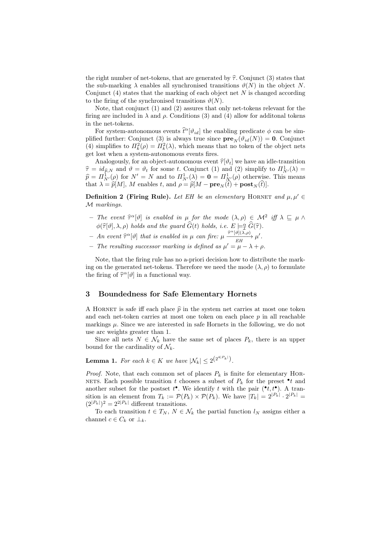the right number of net-tokens, that are generated by  $\hat{\tau}$ . Conjunct (3) states that the sub-marking  $\lambda$  enables all synchronised transitions  $\vartheta(N)$  in the object N. Conjunct  $(4)$  states that the marking of each object net N is changed according to the firing of the synchronised transitions  $\vartheta(N)$ .

Note, that conjunct (1) and (2) assures that only net-tokens relevant for the firing are included in  $\lambda$  and  $\rho$ . Conditions (3) and (4) allow for additional tokens in the net-tokens.

For system-autonomous events  $\hat{t}^{\alpha}[\vartheta_{id}]$  the enabling predicate  $\phi$  can be simplified further: Conjunct (3) is always true since  $\mathbf{pre}_N(\vartheta_{id}(N)) = \mathbf{0}$ . Conjunct (4) simplifies to  $\Pi_k^2(\rho) = \Pi_k^2(\lambda)$ , which means that no token of the object nets get lost when a system-autonomous events fires.

Analogously, for an object-autonomous event  $\hat{\tau}[\vartheta_t]$  we have an idle-transition  $\hat{\tau} = id_{\hat{p},N}$  and  $\vartheta = \vartheta_t$  for some t. Conjunct (1) and (2) simplify to  $\Pi_N^1(\lambda) =$  $\widehat{p} = \Pi^1_{N'}(\rho)$  for  $N' = N$  and to  $\Pi^1_{N'}(\lambda) = \mathbf{0} = \Pi^1_{N'}(\rho)$  otherwise. This means that  $\lambda = \widehat{p}[M], M$  enables t, and  $\rho = \widehat{p}[M - \mathbf{pre}_N(t) + \mathbf{post}_N(t)].$ 

**Definition 2 (Firing Rule).** Let EH be an elementary HORNET and  $\mu, \mu' \in$ M *markings.*

- $-$  *The event*  $\hat{\tau}^{\alpha}[\vartheta]$  *is enabled in* μ *for the mode*  $(\lambda, \rho) \in \mathcal{M}^2$  *iff*  $\lambda \subseteq \mu \wedge$  $\phi(\widehat{\tau}[\vartheta], \lambda, \rho)$  *holds and the guard*  $\widehat{G}(t)$  *holds, i.e.*  $E \models_{\mathcal{I}}^{\alpha} \widehat{G}(\widehat{\tau})$ *.*
- *An event*  $\hat{\tau}^{\alpha}[\vartheta]$  *that is enabled in* μ *can fire:* μ  $\frac{\hat{\tau}^{\alpha}[\vartheta](\lambda,\rho)}{EH}$  $\frac{\tau_{\perp}[\nu](\lambda,\rho)}{EH} \mu'.$
- $-$  *The resulting successor marking is defined as*  $μ' = μ − λ + ρ$ .

Note, that the firing rule has no a-priori decision how to distribute the marking on the generated net-tokens. Therefore we need the mode  $(\lambda, \rho)$  to formulate the firing of  $\hat{\tau}^{\alpha}[\vartheta]$  in a functional way.

#### 3 Boundedness for Safe Elementary Hornets

A HORNET is safe iff each place  $\hat{p}$  in the system net carries at most one token and each net-token carries at most one token on each place  $p$  in all reachable markings  $\mu$ . Since we are interested in safe Hornets in the following, we do not use arc weights greater than 1.

Since all nets  $N \in \mathcal{N}_k$  have the same set of places  $P_k$ , there is an upper bound for the cardinality of  $\mathcal{N}_k$ .

**Lemma 1.** For each  $k \in K$  we have  $|\mathcal{N}_k| \leq 2^{\left(2^{4|P_k|}\right)}$ .

*Proof.* Note, that each common set of places  $P_k$  is finite for elementary HOR-NETS. Each possible transition t chooses a subset of  $P_k$  for the preset  $\bullet$ t and another subset for the postset  $t^{\bullet}$ . We identify t with the pair  $({^{\bullet}t}, t^{\bullet})$ . A transition is an element from  $T_k := \mathcal{P}(P_k) \times \mathcal{P}(P_k)$ . We have  $|T_k| = 2^{|P_k|} \cdot 2^{|P_k|} =$  $(2^{|P_k|})^2 = 2^{2|P_k|}$  different transitions.

To each transition  $t \in T_N$ ,  $N \in \mathcal{N}_k$  the partial function  $l_N$  assigns either a channel  $c \in C_k$  or  $\perp_k$ .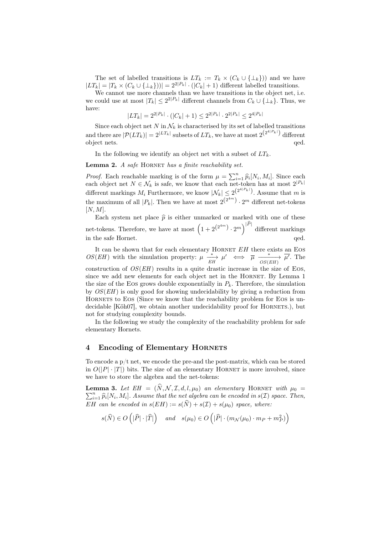The set of labelled transitions is  $LT_k := T_k \times (C_k \cup \{\perp_k\})$  and we have  $|LT_k| = |T_k \times (C_k \cup \{\perp_k\}))| = 2^{2|P_k|} \cdot (|C_k| + 1)$  different labelled transitions.

We cannot use more channels than we have transitions in the object net, i.e. we could use at most  $|T_k| \leq 2^{2|P_k|}$  different channels from  $C_k \cup \{\perp_k\}$ . Thus, we have:

$$
|LT_k| = 2^{2|P_k|} \cdot (|C_k| + 1) \le 2^{2|P_k|} \cdot 2^{2|P_k|} \le 2^{4|P_k|}
$$

Since each object net N in  $\mathcal{N}_k$  is characterised by its set of labelled transitions and there are  $|\mathcal{P}(LT_k)| = 2^{|LT_k|}$  subsets of  $LT_k$ , we have at most  $2^{(2^{4|P_k|})}$  different object nets.  $q$ ed.

In the following we identify an object net with a subset of  $LT_k$ .

Lemma 2. *A safe* HORNET has a finite reachability set.

*Proof.* Each reachable marking is of the form  $\mu = \sum_{i=1}^{n} \hat{p}_i[N_i, M_i]$ . Since each each object net  $N \in \mathcal{N}_k$  is safe, we know that each net-token has at most  $2^{|P_k|}$ different markings  $M_i$  Furthermore, we know  $|\mathcal{N}_k| \leq 2^{\left(2^{4|P_k|}\right)}$ . Assume that m is the maximum of all  $|P_k|$ . Then we have at most  $2^{(2^{4m})} \cdot 2^m$  different net-tokens  $[N, M].$ 

Each system net place  $\hat{p}$  is either unmarked or marked with one of these net-tokens. Therefore, we have at most  $(1+2^{(2^{4m})}\cdot 2^m)^{|\widehat{P}|}$  different markings in the safe Hornet.  $qed.$ 

It can be shown that for each elementary HORNET  $EH$  there exists an EOS OS(EH) with the simulation property:  $\mu \xrightarrow[E]{*} \mu' \iff \overline{\mu} \xrightarrow[OS(EH)]{} \overline{\mu'}.$  The construction of  $OS(EH)$  results in a quite drastic increase in the size of Eos. since we add new elements for each object net in the HORNET. By Lemma 1 the size of the Eos grows double exponentially in  $P_k$ . Therefore, the simulation by  $OS(EH)$  is only good for showing undecidability by giving a reduction from HORNETS to EOS (Since we know that the reachability problem for EOS is undecidable [Köh07], we obtain another undecidability proof for HORNETS.), but not for studying complexity bounds.

In the following we study the complexity of the reachability problem for safe elementary Hornets.

#### 4 Encoding of Elementary HORNETS

To encode a  $p/t$  net, we encode the pre-and the post-matrix, which can be stored in  $O(|P| \cdot |T|)$  bits. The size of an elementary HORNET is more involved, since we have to store the algebra and the net-tokens:

**Lemma 3.** Let  $EH = (\hat{N}, \mathcal{N}, \mathcal{I}, d, l, \mu_0)$  *an elementary* HORNET *with*  $\mu_0 =$  $\sum_{i=1}^n \widehat{p}_i[N_i, M_i]$ . Assume that the net algebra can be encoded in  $s(\mathcal{I})$  space. Then, EH can be encoded in  $s(EH) := s(\widehat{N}) + s(\mathcal{I}) + s(\mu_0)$  *space, where:* 

$$
s(\widehat{N}) \in O\left(|\widehat{P}|\cdot |\widehat{T}|\right) \quad \text{ and } \quad s(\mu_0) \in O\left(|\widehat{P}|\cdot (m_{\mathcal{N}}(\mu_0) \cdot m_P + m_P^2)\right)
$$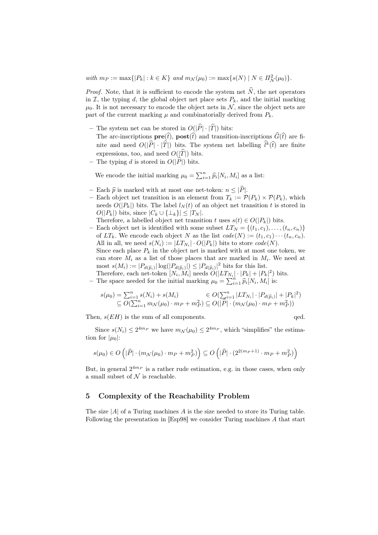$with \ m_P := \max\{|P_k| : k \in K\} \ and \ m_N(\mu_0) := \max\{s(N) \mid N \in \Pi_N^2(\mu_0)\}.$ 

*Proof.* Note, that it is sufficient to encode the system net  $\hat{N}$ , the net operators in  $\mathcal{I}$ , the typing d, the global object net place sets  $P_k$ , and the initial marking  $\mu_0$ . It is not necessary to encode the object nets in  $\mathcal{N}$ , since the object nets are part of the current marking  $\mu$  and combinatorially derived from  $P_k$ .

– The system net can be stored in  $O(|\widehat{P}|\cdot|\widehat{T}|)$  bits:

The arc-inscriptions  $\mathbf{pre}(\hat{t})$ ,  $\mathbf{post}(\hat{t})$  and transition-inscriptions  $\widehat{G}(\hat{t})$  are finite and need  $O(|\widehat{P}|\cdot|\widehat{T}|)$  bits. The system net labelling  $\widehat{l}^k(\widehat{t})$  are finite expressions, too, and need  $O(|\widehat{T}|)$  bits.

– The typing d is stored in  $O(|\widehat{P}|)$  bits.

We encode the initial marking  $\mu_0 = \sum_{i=1}^n \widehat{p}_i[N_i, M_i]$  as a list:

- Each  $\hat{p}$  is marked with at most one net-token:  $n \leq |\hat{P}|$ .
- Each object net transition is an element from  $T_k := \mathcal{P}(P_k) \times \mathcal{P}(P_k)$ , which needs  $O(|P_k|)$  bits. The label  $l_N(t)$  of an object net transition t is stored in  $O(|P_k|)$  bits, since  $|C_k \cup \{\perp_k\}| \leq |T_N|$ .
- Therefore, a labelled object net transition t uses  $s(t) \in O(|P_k|)$  bits.
- Each object net is identified with some subset  $LT_N = \{(t_1, c_1), \ldots, (t_n, c_n)\}\;$ of  $LT_k$ . We encode each object N as the list  $code(N) := (t_1, c_1) \cdots (t_n, c_n)$ . All in all, we need  $s(N_i) := |LT_{N_i}| \cdot O(|P_k|)$  bits to store  $code(N)$ . Since each place  $P_k$  in the object net is marked with at most one token, we can store  $M_i$  as a list of those places that are marked in  $M_i$ . We need at most  $s(M_i) := |P_{d(\widehat{p}_i)}| \log(|P_{d(\widehat{p}_i)}|) \leq |P_{d(\widehat{p}_i)}|^2$  bits for this list.

Therefore, each net-token  $[N_i, M_i]$  needs  $O(|LT_{N_i}| \cdot |P_k| + |P_k|^2)$  bits.

– The space needed for the initial marking  $\mu_0 = \sum_{i=1}^n \hat{p}_i[N_i, M_i]$  is:

$$
s(\mu_0) = \sum_{i=1}^n s(N_i) + s(M_i) \in O(\sum_{i=1}^n |LT_{N_i}| \cdot |P_{d(\widehat{p}_i)}| + |P_k|^2) \subseteq O(\sum_{i=1}^n m_{\mathcal{N}}(\mu_0) \cdot m_P + m_P^2) \subseteq O(|\widehat{P}| \cdot (m_{\mathcal{N}}(\mu_0) \cdot m_P + m_P^2))
$$

Then,  $s(EH)$  is the sum of all components.

Since  $s(N_i) \leq 2^{4m_P}$  we have  $m_N(\mu_0) \leq 2^{4m_P}$ , which "simplifies" the estimation for  $|\mu_0|$ :

$$
s(\mu_0) \in O\left(|\widehat{P}| \cdot (m_{\mathcal{N}}(\mu_0) \cdot m_P + m_P^2)\right) \subseteq O\left(|\widehat{P}| \cdot (2^{2(m_P+1)} \cdot m_P + m_P^2)\right)
$$

But, in general  $2^{4m_P}$  is a rather rude estimation, e.g. in those cases, when only a small subset of  $\mathcal N$  is reachable.

# 5 Complexity of the Reachability Problem

The size  $|A|$  of a Turing machines A is the size needed to store its Turing table. Following the presentation in [Esp98] we consider Turing machines A that start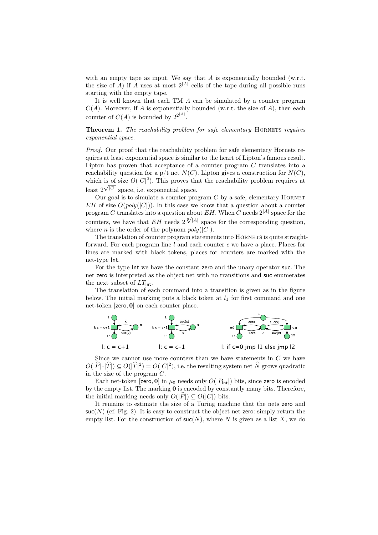with an empty tape as input. We say that  $A$  is exponentially bounded (w.r.t. the size of A) if A uses at most  $2^{|A|}$  cells of the tape during all possible runs starting with the empty tape.

It is well known that each TM A can be simulated by a counter program  $C(A)$ . Moreover, if A is exponentially bounded (w.r.t. the size of A), then each counter of  $C(A)$  is bounded by  $2^{2^{|A|}}$ .

Theorem 1. *The reachability problem for safe elementary* Hornets *requires exponential space.*

*Proof.* Our proof that the reachability problem for safe elementary Hornets requires at least exponential space is similar to the heart of Lipton's famous result. Lipton has proven that acceptance of a counter program  $C$  translates into a reachability question for a  $p/t$  net  $N(C)$ . Lipton gives a construction for  $N(C)$ , which is of size  $O(|C|^2)$ . This proves that the reachability problem requires at least  $2\sqrt{|C|}$  space, i.e. exponential space.

Our goal is to simulate a counter program  $C$  by a safe, elementary HORNET EH of size  $O(poly(|C|))$ . In this case we know that a question about a counter program C translates into a question about  $EH$ . When C needs  $2^{|A|}$  space for the counters, we have that  $EH$  needs  $2\sqrt[n]{|A|}$  space for the corresponding question, where *n* is the order of the polynom  $poly(|C|)$ .

The translation of counter program statements into HORNETS is quite straightforward. For each program line  $l$  and each counter  $c$  we have a place. Places for lines are marked with black tokens, places for counters are marked with the net-type Int.

For the type Int we have the constant zero and the unary operator suc. The net zero is interpreted as the object net with no transitions and suc enumerates the next subset of  $LT_{\text{int}}$ .

The translation of each command into a transition is given as in the figure below. The initial marking puts a black token at  $l_1$  for first command and one net-token [zero, 0] on each counter place.



Since we cannot use more counters than we have statements in  $C$  we have  $O(|\widehat{P}|\cdot|\widehat{T}|) \subseteq O(|\widehat{T}|^2) = O(|C|^2)$ , i.e. the resulting system net  $\widehat{N}$  grows quadratic in the size of the program C.

Each net-token [zero, 0] in  $\mu_0$  needs only  $O(|P_{\text{int}}|)$  bits, since zero is encoded by the empty list. The marking 0 is encoded by constantly many bits. Therefore, the initial marking needs only  $O(|\widehat{P}|) \subseteq O(|C|)$  bits.

It remains to estimate the size of a Turing machine that the nets zero and  $suc(N)$  (cf. Fig. 2). It is easy to construct the object net zero: simply return the empty list. For the construction of  $\mathsf{succ}(N)$ , where N is given as a list X, we do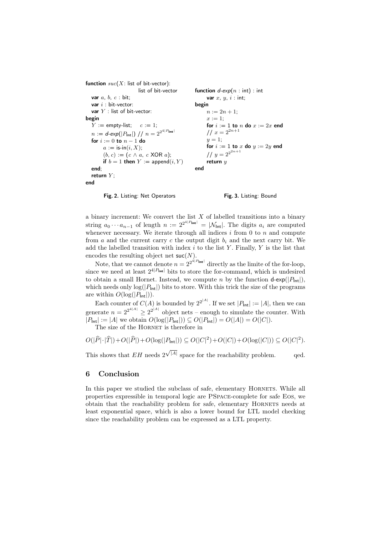function  $suc(X)$ : list of bit-vector): list of bit-vector var  $a, b, c$  : bit; var  $i$  : bit-vector: var  $Y$  : list of bit-vector: begin  $Y := \text{empty-list}; \quad c := 1;$  $n := d\text{-exp}(|P_{\text{Int}}|) / f n = 2^{2^{4|P_{\text{Int}}|}}$ for  $i := 0$  to  $n - 1$  do  $a := \mathsf{is-in}(i, X);$  $(b, c) := (c \land a, c \text{ XOR } a);$ if  $b = 1$  then  $Y := \text{append}(i, Y)$ end; return  $Y$ ; end function  $d$ -exp( $n :$  int) : int var  $x, y, i$  : int; begin  $n := 2n + 1;$  $x := 1$ ; for  $i := 1$  to  $n$  do  $x := 2x$  end  $1/x = 2^{2n+1}$  $y=1;$ for  $i := 1$  to  $x$  do  $y := 2y$  end  $1/y = 2^{2^{2n+1}}$ return y end

Fig. 2. Listing: Net Operators Fig. 3. Listing: Bound

a binary increment: We convert the list  $X$  of labelled transitions into a binary string  $a_0 \cdots a_{n-1}$  of length  $n := 2^{2^{4|P_{\text{int}}|}} = |\mathcal{N}_{\text{int}}|$ . The digits  $a_i$  are computed whenever necessary. We iterate through all indices  $i$  from 0 to  $n$  and compute from a and the current carry c the output digit  $b_i$  and the next carry bit. We add the labelled transition with index  $i$  to the list Y. Finally, Y is the list that encodes the resulting object net  $\mathsf{suc}(N)$ .

Note, that we cannot denote  $n = 2^{2^{d|P_{\text{int}}|}}$  directly as the limite of the for-loop, since we need at least  $2^{4|P_{\text{int}}|}$  bits to store the for-command, which is undesired to obtain a small Hornet. Instead, we compute n by the function  $d-\exp(|P_{int}|)$ , which needs only  $log(|P_{\text{Int}}|)$  bits to store. With this trick the size of the programs are within  $O(\log(|P_{\text{Int}}|)).$ 

Each counter of  $C(A)$  is bounded by  $2^{2^{|A|}}$ . If we set  $|P_{\text{Int}}| := |A|$ , then we can generate  $n = 2^{2^{4|A|}} \ge 2^{2^{|A|}}$  object nets – enough to simulate the counter. With  $|P_{\text{Int}}| := |A|$  we obtain  $O(\log(|P_{\text{Int}}|)) \subseteq O(|P_{\text{Int}}|) = O(|A|) = O(|C|)$ .

The size of the HORNET is therefore in

$$
O(|\widehat{P}|\cdot|\widehat{T}|)+O(|\widehat{P}|)+O(\log(|P_{\mathsf{Int}}|))\subseteq O(|C|^2)+O(|C|)+O(\log(|C|))\subseteq O(|C|^2).
$$

This shows that  $EH$  needs  $2^{\sqrt{|A|}}$  space for the reachability problem. qed.

#### 6 Conclusion

In this paper we studied the subclass of safe, elementary HORNETS. While all properties expressible in temporal logic are PSpace-complete for safe Eos, we obtain that the reachability problem for safe, elementary Hornets needs at least exponential space, which is also a lower bound for LTL model checking since the reachability problem can be expressed as a LTL property.